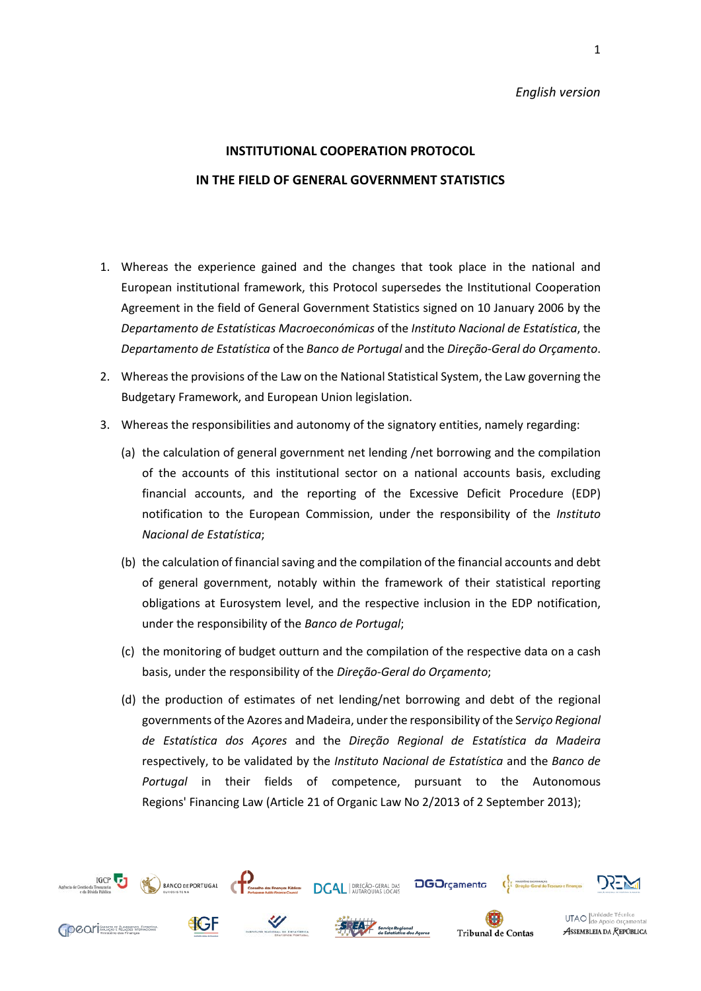#### *English version*

# **INSTITUTIONAL COOPERATION PROTOCOL IN THE FIELD OF GENERAL GOVERNMENT STATISTICS**

- 1. Whereas the experience gained and the changes that took place in the national and European institutional framework, this Protocol supersedes the Institutional Cooperation Agreement in the field of General Government Statistics signed on 10 January 2006 by the *Departamento de Estatísticas Macroeconómicas* of the *Instituto Nacional de Estatística*, the *Departamento de Estatística* of the *Banco de Portugal* and the *Direção-Geral do Orçamento*.
- 2. Whereasthe provisions of the Law on the National Statistical System, the Law governing the Budgetary Framework, and European Union legislation.
- 3. Whereas the responsibilities and autonomy of the signatory entities, namely regarding:
	- (a) the calculation of general government net lending /net borrowing and the compilation of the accounts of this institutional sector on a national accounts basis, excluding financial accounts, and the reporting of the Excessive Deficit Procedure (EDP) notification to the European Commission, under the responsibility of the *Instituto Nacional de Estatística*;
	- (b) the calculation of financial saving and the compilation of the financial accounts and debt of general government, notably within the framework of their statistical reporting obligations at Eurosystem level, and the respective inclusion in the EDP notification, under the responsibility of the *Banco de Portugal*;
	- (c) the monitoring of budget outturn and the compilation of the respective data on a cash basis, under the responsibility of the *Direção-Geral do Orçamento*;
	- (d) the production of estimates of net lending/net borrowing and debt of the regional governments of the Azores and Madeira, under the responsibility of the S*erviço Regional de Estatística dos Açores* and the *Direção Regional de Estatística da Madeira* respectively, to be validated by the *Instituto Nacional de Estatística* and the *Banco de Portugal* in their fields of competence, pursuant to the Autonomous Regions' Financing Law (Article 21 of Organic Law No 2/2013 of 2 September 2013);

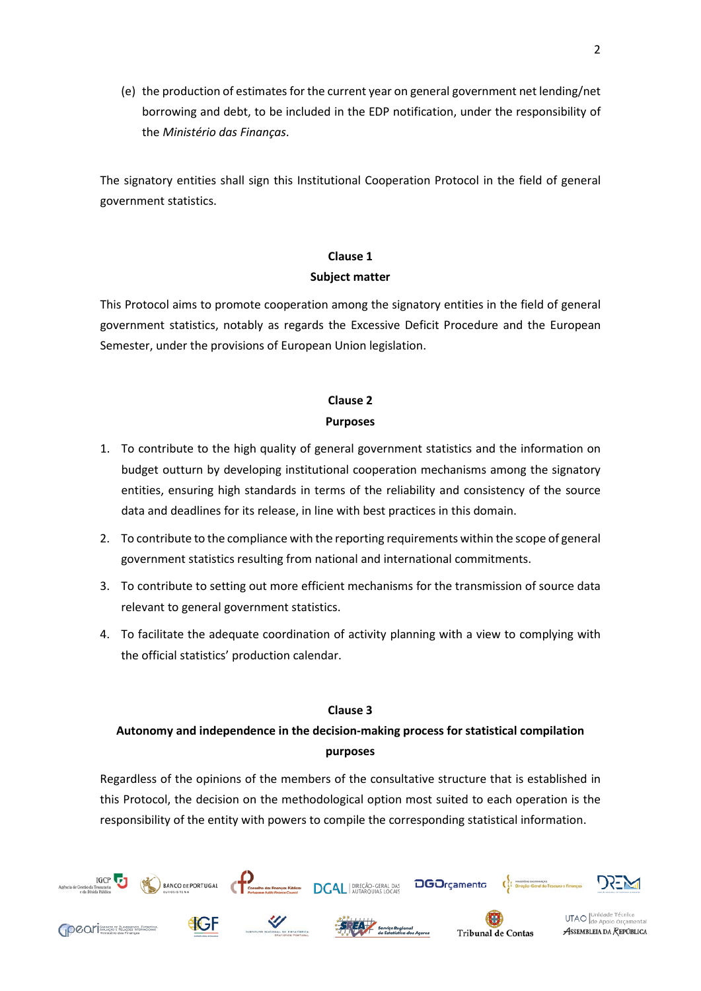(e) the production of estimates for the current year on general government net lending/net borrowing and debt, to be included in the EDP notification, under the responsibility of the *Ministério das Finanças*.

The signatory entities shall sign this Institutional Cooperation Protocol in the field of general government statistics.

# **Clause 1 Subject matter**

This Protocol aims to promote cooperation among the signatory entities in the field of general government statistics, notably as regards the Excessive Deficit Procedure and the European Semester, under the provisions of European Union legislation.

### **Clause 2 Purposes**

- 1. To contribute to the high quality of general government statistics and the information on budget outturn by developing institutional cooperation mechanisms among the signatory entities, ensuring high standards in terms of the reliability and consistency of the source data and deadlines for its release, in line with best practices in this domain.
- 2. To contribute to the compliance with the reporting requirements within the scope of general government statistics resulting from national and international commitments.
- 3. To contribute to setting out more efficient mechanisms for the transmission of source data relevant to general government statistics.
- 4. To facilitate the adequate coordination of activity planning with a view to complying with the official statistics' production calendar.

### **Clause 3**

## **Autonomy and independence in the decision-making process for statistical compilation purposes**

Regardless of the opinions of the members of the consultative structure that is established in this Protocol, the decision on the methodological option most suited to each operation is the responsibility of the entity with powers to compile the corresponding statistical information.



2

ASSEMBLEIA DA REPÚBLICA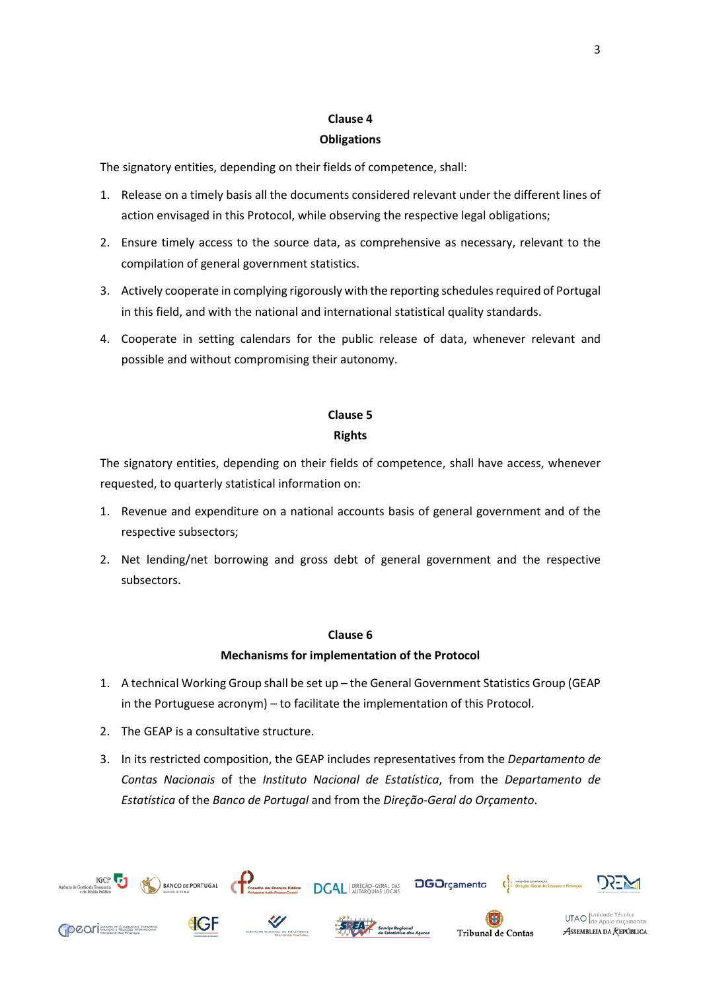### **Clause 4**

#### **Obligations**

The signatory entities, depending on their fields of competence, shall:

- 1. Release on a timely basis all the documents considered relevant under the different lines of action envisaged in this Protocol, while observing the respective legal obligations;
- 2. Ensure timely access to the source data, as comprehensive as necessary, relevant to the compilation of general government statistics.
- 3. Actively cooperate in complying rigorously with the reporting schedules required of Portugal in this field, and with the national and international statistical quality standards.
- 4. Cooperate in setting calendars for the public release of data, whenever relevant and possible and without compromising their autonomy.

# **Clause 5 Rights**

The signatory entities, depending on their fields of competence, shall have access, whenever requested, to quarterly statistical information on:

- 1. Revenue and expenditure on a national accounts basis of general government and of the respective subsectors;
- 2. Net lending/net borrowing and gross debt of general government and the respective subsectors.

### **Clause 6**

### **Mechanisms for implementation of the Protocol**

- 1. A technical Working Group shall be set up the General Government Statistics Group (GEAP in the Portuguese acronym) – to facilitate the implementation of this Protocol.
- 2. The GEAP is a consultative structure.
- 3. In its restricted composition, the GEAP includes representatives from the *Departamento de Contas Nacionais* of the *Instituto Nacional de Estatística*, from the *Departamento de Estatística* of the *Banco de Portugal* and from the *Direção-Geral do Orçamento*.

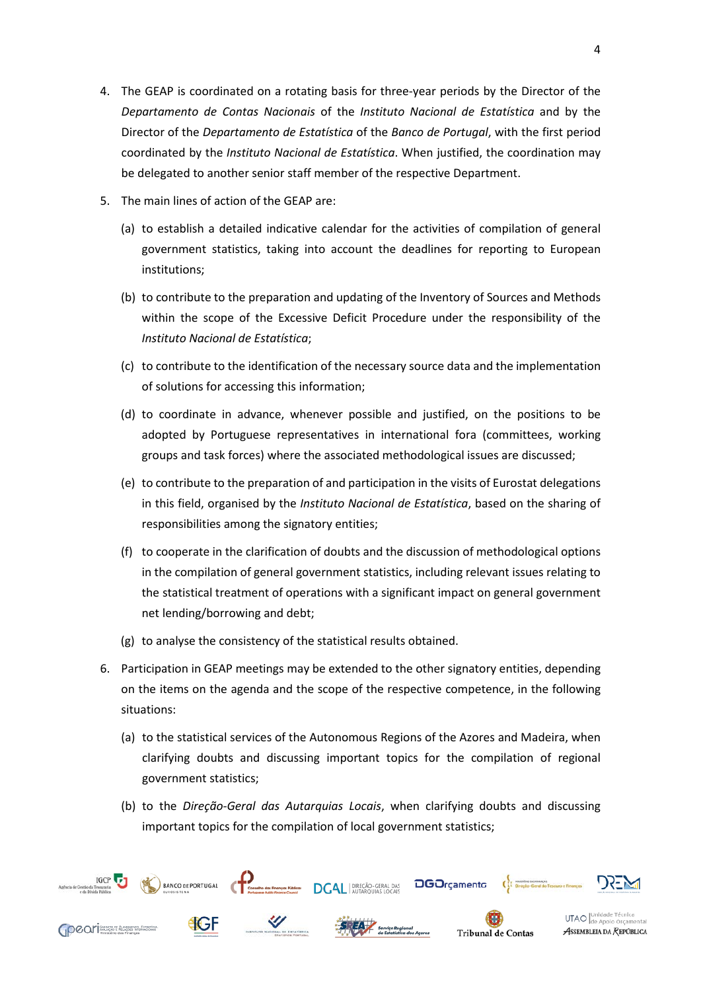- 4. The GEAP is coordinated on a rotating basis for three-year periods by the Director of the *Departamento de Contas Nacionais* of the *Instituto Nacional de Estatística* and by the Director of the *Departamento de Estatística* of the *Banco de Portugal*, with the first period coordinated by the *Instituto Nacional de Estatística*. When justified, the coordination may be delegated to another senior staff member of the respective Department.
- 5. The main lines of action of the GEAP are:
	- (a) to establish a detailed indicative calendar for the activities of compilation of general government statistics, taking into account the deadlines for reporting to European institutions;
	- (b) to contribute to the preparation and updating of the Inventory of Sources and Methods within the scope of the Excessive Deficit Procedure under the responsibility of the *Instituto Nacional de Estatística*;
	- (c) to contribute to the identification of the necessary source data and the implementation of solutions for accessing this information;
	- (d) to coordinate in advance, whenever possible and justified, on the positions to be adopted by Portuguese representatives in international fora (committees, working groups and task forces) where the associated methodological issues are discussed;
	- (e) to contribute to the preparation of and participation in the visits of Eurostat delegations in this field, organised by the *Instituto Nacional de Estatística*, based on the sharing of responsibilities among the signatory entities;
	- (f) to cooperate in the clarification of doubts and the discussion of methodological options in the compilation of general government statistics, including relevant issues relating to the statistical treatment of operations with a significant impact on general government net lending/borrowing and debt;
	- (g) to analyse the consistency of the statistical results obtained.
- 6. Participation in GEAP meetings may be extended to the other signatory entities, depending on the items on the agenda and the scope of the respective competence, in the following situations:
	- (a) to the statistical services of the Autonomous Regions of the Azores and Madeira, when clarifying doubts and discussing important topics for the compilation of regional government statistics;
	- (b) to the *Direção-Geral das Autarquias Locais*, when clarifying doubts and discussing important topics for the compilation of local government statistics;

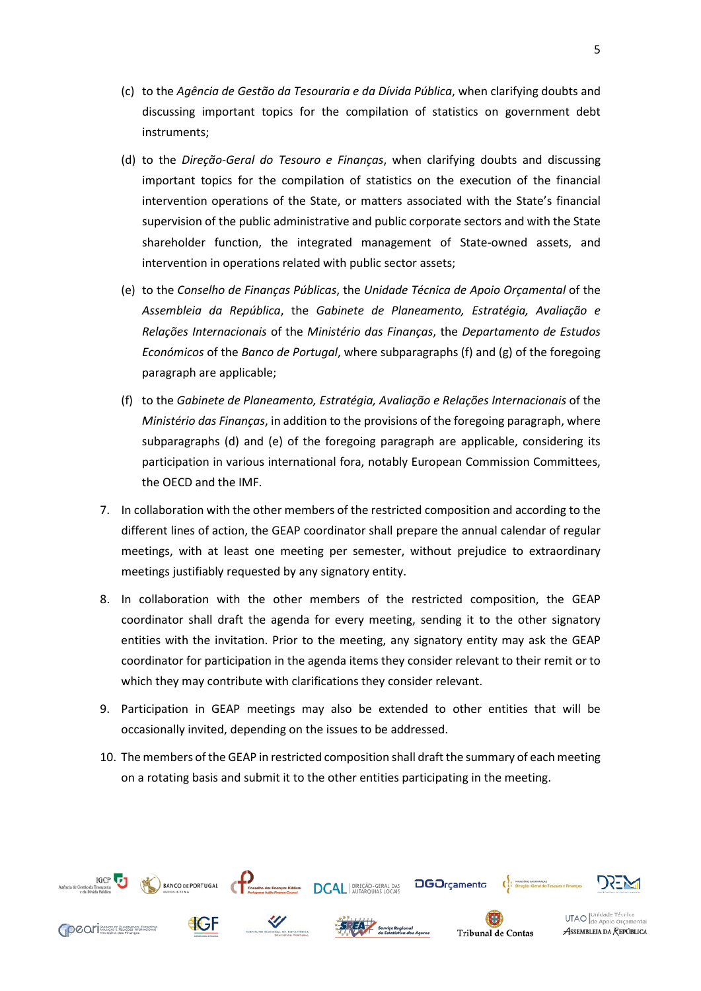- (c) to the *Agência de Gestão da Tesouraria e da Dívida Pública*, when clarifying doubts and discussing important topics for the compilation of statistics on government debt instruments;
- (d) to the *Direção-Geral do Tesouro e Finanças*, when clarifying doubts and discussing important topics for the compilation of statistics on the execution of the financial intervention operations of the State, or matters associated with the State's financial supervision of the public administrative and public corporate sectors and with the State shareholder function, the integrated management of State-owned assets, and intervention in operations related with public sector assets;
- (e) to the *Conselho de Finanças Públicas*, the *Unidade Técnica de Apoio Orçamental* of the *Assembleia da República*, the *Gabinete de Planeamento, Estratégia, Avaliação e Relações Internacionais* of the *Ministério das Finanças*, the *Departamento de Estudos Económicos* of the *Banco de Portugal*, where subparagraphs (f) and (g) of the foregoing paragraph are applicable;
- (f) to the *Gabinete de Planeamento, Estratégia, Avaliação e Relações Internacionais* of the *Ministério das Finanças*, in addition to the provisions of the foregoing paragraph, where subparagraphs (d) and (e) of the foregoing paragraph are applicable, considering its participation in various international fora, notably European Commission Committees, the OECD and the IMF.
- 7. In collaboration with the other members of the restricted composition and according to the different lines of action, the GEAP coordinator shall prepare the annual calendar of regular meetings, with at least one meeting per semester, without prejudice to extraordinary meetings justifiably requested by any signatory entity.
- 8. In collaboration with the other members of the restricted composition, the GEAP coordinator shall draft the agenda for every meeting, sending it to the other signatory entities with the invitation. Prior to the meeting, any signatory entity may ask the GEAP coordinator for participation in the agenda items they consider relevant to their remit or to which they may contribute with clarifications they consider relevant.
- 9. Participation in GEAP meetings may also be extended to other entities that will be occasionally invited, depending on the issues to be addressed.
- 10. The members of the GEAP in restricted composition shall draft the summary of each meeting on a rotating basis and submit it to the other entities participating in the meeting.

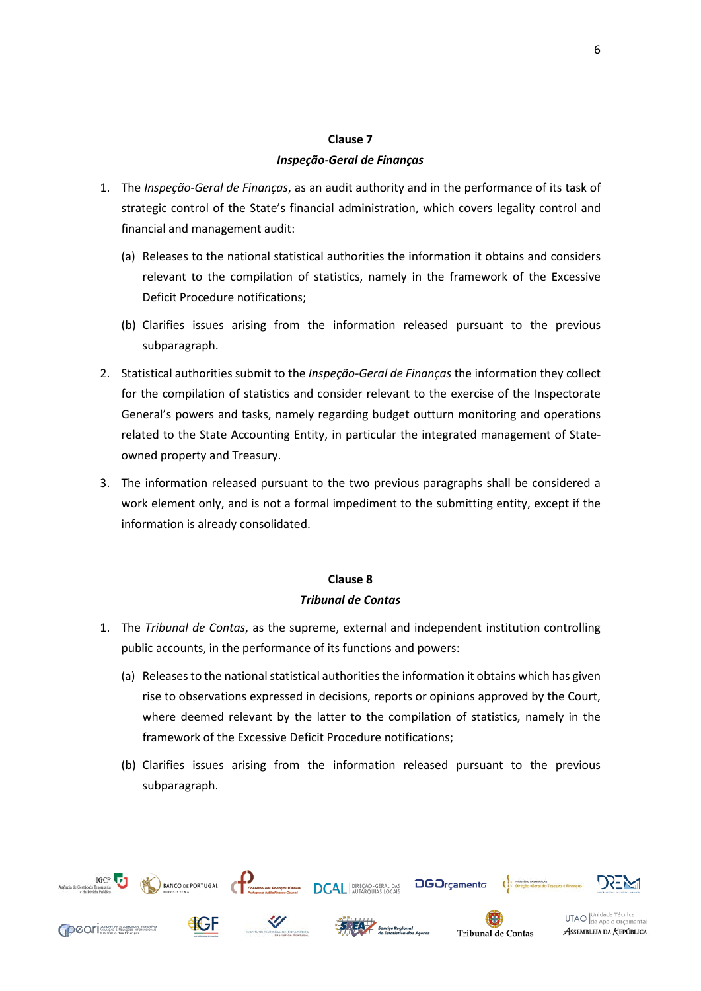### **Clause 7** *Inspeção-Geral de Finanças*

- 1. The *Inspeção-Geral de Finanças*, as an audit authority and in the performance of its task of strategic control of the State's financial administration, which covers legality control and financial and management audit:
	- (a) Releases to the national statistical authorities the information it obtains and considers relevant to the compilation of statistics, namely in the framework of the Excessive Deficit Procedure notifications;
	- (b) Clarifies issues arising from the information released pursuant to the previous subparagraph.
- 2. Statistical authorities submit to the *Inspeção-Geral de Finanças* the information they collect for the compilation of statistics and consider relevant to the exercise of the Inspectorate General's powers and tasks, namely regarding budget outturn monitoring and operations related to the State Accounting Entity, in particular the integrated management of Stateowned property and Treasury.
- 3. The information released pursuant to the two previous paragraphs shall be considered a work element only, and is not a formal impediment to the submitting entity, except if the information is already consolidated.

#### **Clause 8**

#### *Tribunal de Contas*

- 1. The *Tribunal de Contas*, as the supreme, external and independent institution controlling public accounts, in the performance of its functions and powers:
	- (a) Releases to the national statistical authorities the information it obtains which has given rise to observations expressed in decisions, reports or opinions approved by the Court, where deemed relevant by the latter to the compilation of statistics, namely in the framework of the Excessive Deficit Procedure notifications;
	- (b) Clarifies issues arising from the information released pursuant to the previous subparagraph.



**OCON** 

UTAO de Apoio Orçamo ASSEMBLEIA DA REPÚBLICA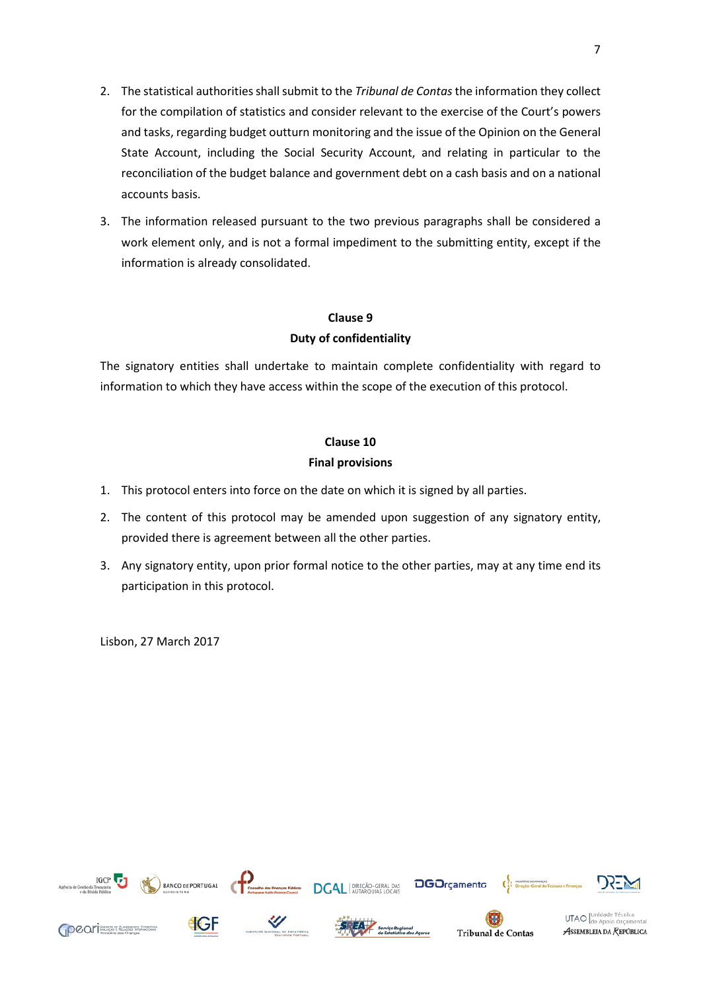- 2. The statistical authorities shall submit to the *Tribunal de Contas* the information they collect for the compilation of statistics and consider relevant to the exercise of the Court's powers and tasks, regarding budget outturn monitoring and the issue of the Opinion on the General State Account, including the Social Security Account, and relating in particular to the reconciliation of the budget balance and government debt on a cash basis and on a national accounts basis.
- 3. The information released pursuant to the two previous paragraphs shall be considered a work element only, and is not a formal impediment to the submitting entity, except if the information is already consolidated.

### **Clause 9 Duty of confidentiality**

The signatory entities shall undertake to maintain complete confidentiality with regard to information to which they have access within the scope of the execution of this protocol.

### **Clause 10**

### **Final provisions**

- 1. This protocol enters into force on the date on which it is signed by all parties.
- 2. The content of this protocol may be amended upon suggestion of any signatory entity, provided there is agreement between all the other parties.
- 3. Any signatory entity, upon prior formal notice to the other parties, may at any time end its participation in this protocol.

Lisbon, 27 March 2017

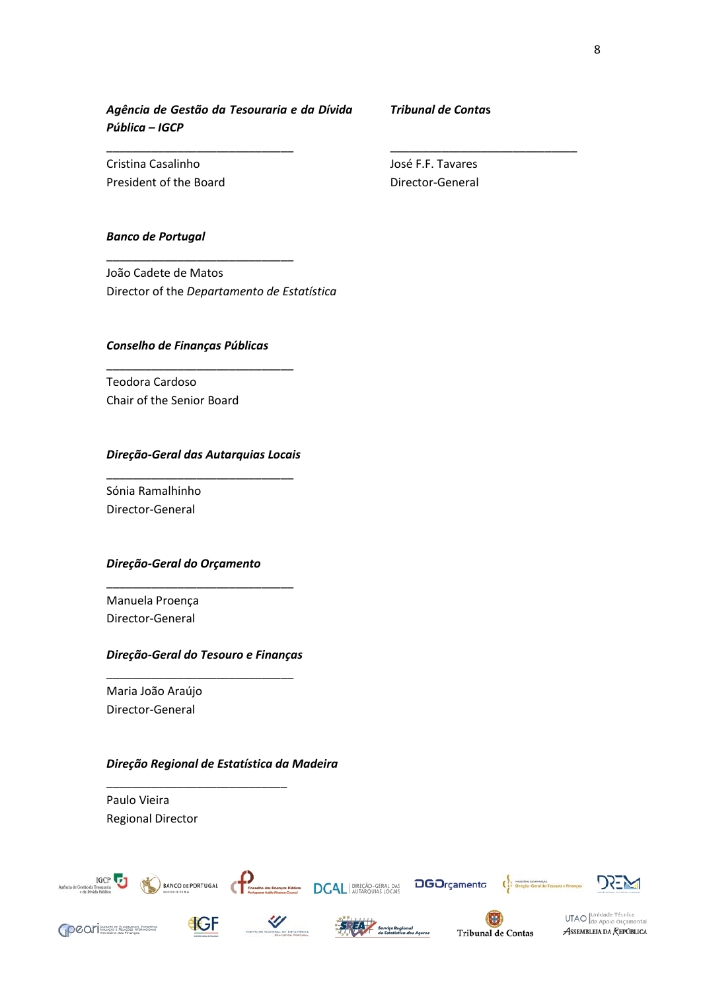*Agência de Gestão da Tesouraria e da Dívida Pública – IGCP*

\_\_\_\_\_\_\_\_\_\_\_\_\_\_\_\_\_\_\_\_\_\_\_\_\_\_\_\_\_

\_\_\_\_\_\_\_\_\_\_\_\_\_\_\_\_\_\_\_\_\_\_\_\_\_\_\_\_\_

*Tribunal de Conta***s**

\_\_\_\_\_\_\_\_\_\_\_\_\_\_\_\_\_\_\_\_\_\_\_\_\_\_\_\_\_

Cristina Casalinho President of the Board José F.F. Tavares Director-General

#### *Banco de Portugal*

João Cadete de Matos Director of the *Departamento de Estatística*

#### *Conselho de Finanças Públicas*

\_\_\_\_\_\_\_\_\_\_\_\_\_\_\_\_\_\_\_\_\_\_\_\_\_\_\_\_\_

Teodora Cardoso Chair of the Senior Board

#### *Direção-Geral das Autarquias Locais* \_\_\_\_\_\_\_\_\_\_\_\_\_\_\_\_\_\_\_\_\_\_\_\_\_\_\_\_\_

Sónia Ramalhinho Director-General

#### *Direção-Geral do Orçamento*

Manuela Proença Director-General

### *Direção-Geral do Tesouro e Finanças* \_\_\_\_\_\_\_\_\_\_\_\_\_\_\_\_\_\_\_\_\_\_\_\_\_\_\_\_\_

\_\_\_\_\_\_\_\_\_\_\_\_\_\_\_\_\_\_\_\_\_\_\_\_\_\_\_\_\_

Maria João Araújo Director-General

#### *Direção Regional de Estatística da Madeira*

\_\_\_\_\_\_\_\_\_\_\_\_\_\_\_\_\_\_\_\_\_\_\_\_\_\_\_\_

Paulo Vieira Regional Director



BANCO DE PORTUGAL COMMENCIÓ del Françal Nation DCAL | DIREÇÃO-GERAL DAS DODIFGEMENTO





**OCOL** Thursday of Response Enterprises









UTAO de Apoio Orçame ASSEMBLEIA DA REPÚBLICA